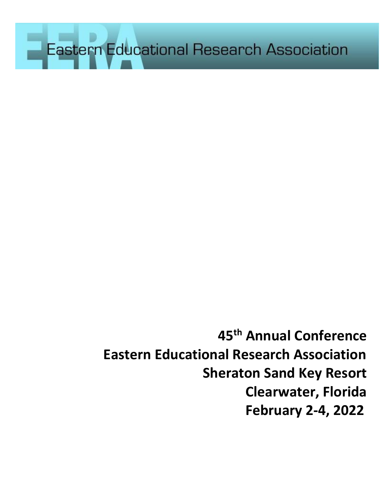Eastern Educational Research Association

**45th Annual Conference Eastern Educational Research Association Sheraton Sand Key Resort Clearwater, Florida February 2-4, 2022**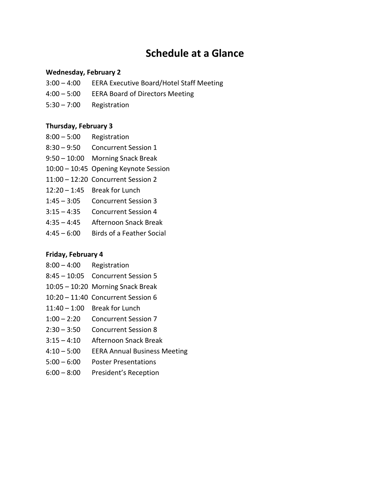# **Schedule at a Glance**

#### **Wednesday, February 2**

- 3:00 4:00 EERA Executive Board/Hotel Staff Meeting
- 4:00 5:00 EERA Board of Directors Meeting
- 5:30 7:00 Registration

#### **Thursday, February 3**

- 8:00 5:00 Registration
- 8:30 9:50 Concurrent Session 1
- 9:50 10:00 Morning Snack Break
- 10:00 10:45 Opening Keynote Session
- 11:00 12:20 Concurrent Session 2
- 12:20 1:45 Break for Lunch
- 1:45 3:05 Concurrent Session 3
- 3:15 4:35 Concurrent Session 4
- 4:35 4:45 Afternoon Snack Break
- 4:45 6:00 Birds of a Feather Social

#### **Friday, February 4**

- 8:00 4:00 Registration
- 8:45 10:05 Concurrent Session 5
- 10:05 10:20 Morning Snack Break
- 10:20 11:40 Concurrent Session 6
- 11:40 1:00 Break for Lunch
- 1:00 2:20 Concurrent Session 7
- 2:30 3:50 Concurrent Session 8
- 3:15 4:10 Afternoon Snack Break
- 4:10 5:00 EERA Annual Business Meeting
- 5:00 6:00 Poster Presentations
- 6:00 8:00 President's Reception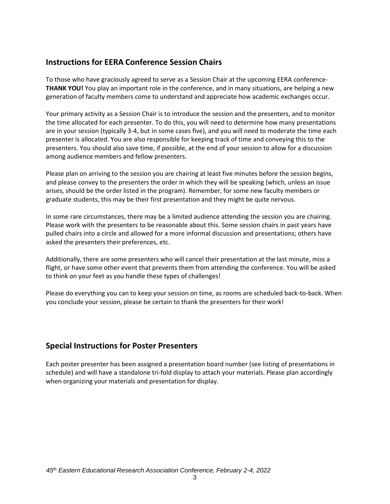# **Instructions for EERA Conference Session Chairs**

To those who have graciously agreed to serve as a Session Chair at the upcoming EERA conference-**THANK YOU!** You play an important role in the conference, and in many situations, are helping a new generation of faculty members come to understand and appreciate how academic exchanges occur.

Your primary activity as a Session Chair is to introduce the session and the presenters, and to monitor the time allocated for each presenter. To do this, you will need to determine how many presentations are in your session (typically 3-4, but in some cases five), and you will need to moderate the time each presenter is allocated. You are also responsible for keeping track of time and conveying this to the presenters. You should also save time, if possible, at the end of your session to allow for a discussion among audience members and fellow presenters.

Please plan on arriving to the session you are chairing at least five minutes before the session begins, and please convey to the presenters the order in which they will be speaking (which, unless an issue arises, should be the order listed in the program). Remember, for some new faculty members or graduate students, this may be their first presentation and they might be quite nervous.

In some rare circumstances, there may be a limited audience attending the session you are chairing. Please work with the presenters to be reasonable about this. Some session chairs in past years have pulled chairs into a circle and allowed for a more informal discussion and presentations; others have asked the presenters their preferences, etc.

Additionally, there are some presenters who will cancel their presentation at the last minute, miss a flight, or have some other event that prevents them from attending the conference. You will be asked to think on your feet as you handle these types of challenges!

Please do everything you can to keep your session on time, as rooms are scheduled back-to-back. When you conclude your session, please be certain to thank the presenters for their work!

# **Special Instructions for Poster Presenters**

Each poster presenter has been assigned a presentation board number (see listing of presentations in schedule) and will have a standalone tri-fold display to attach your materials. Please plan accordingly when organizing your materials and presentation for display.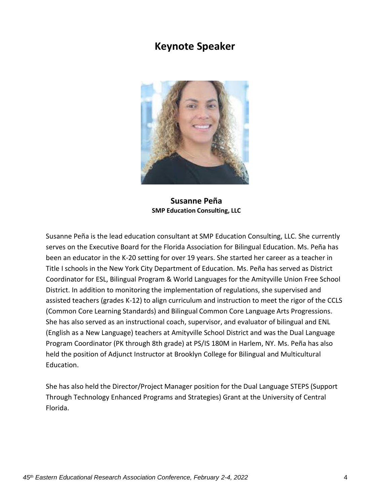# **Keynote Speaker**



**Susanne Peña SMP Education Consulting, LLC**

Susanne Peña is the lead education consultant at SMP Education Consulting, LLC. She currently serves on the Executive Board for the Florida Association for Bilingual Education. Ms. Peña has been an educator in the K-20 setting for over 19 years. She started her career as a teacher in Title I schools in the New York City Department of Education. Ms. Peña has served as District Coordinator for ESL, Bilingual Program & World Languages for the Amityville Union Free School District. In addition to monitoring the implementation of regulations, she supervised and assisted teachers (grades K-12) to align curriculum and instruction to meet the rigor of the CCLS (Common Core Learning Standards) and Bilingual Common Core Language Arts Progressions. She has also served as an instructional coach, supervisor, and evaluator of bilingual and ENL (English as a New Language) teachers at Amityville School District and was the Dual Language Program Coordinator (PK through 8th grade) at PS/IS 180M in Harlem, NY. Ms. Peña has also held the position of Adjunct Instructor at Brooklyn College for Bilingual and Multicultural Education.

She has also held the Director/Project Manager position for the Dual Language STEPS (Support Through Technology Enhanced Programs and Strategies) Grant at the University of Central Florida.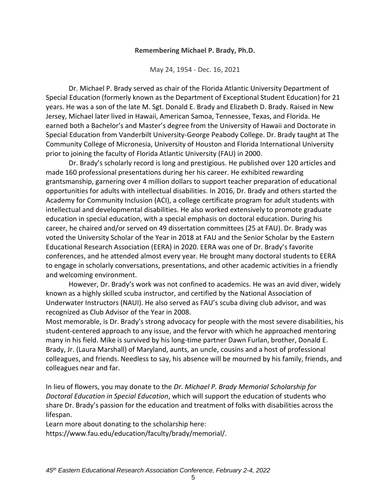#### **Remembering Michael P. Brady, Ph.D.**

May 24, 1954 - Dec. 16, 2021

Dr. Michael P. Brady served as chair of the Florida Atlantic University Department of Special Education (formerly known as the Department of Exceptional Student Education) for 21 years. He was a son of the late M. Sgt. Donald E. Brady and Elizabeth D. Brady. Raised in New Jersey, Michael later lived in Hawaii, American Samoa, Tennessee, Texas, and Florida. He earned both a Bachelor's and Master's degree from the University of Hawaii and Doctorate in Special Education from Vanderbilt University-George Peabody College. Dr. Brady taught at The Community College of Micronesia, University of Houston and Florida International University prior to joining the faculty of Florida Atlantic University (FAU) in 2000.

Dr. Brady's scholarly record is long and prestigious. He published over 120 articles and made 160 professional presentations during her his career. He exhibited rewarding grantsmanship, garnering over 4 million dollars to support teacher preparation of educational opportunities for adults with intellectual disabilities. In 2016, Dr. Brady and others started the Academy for Community Inclusion (ACI), a college certificate program for adult students with intellectual and developmental disabilities. He also worked extensively to promote graduate education in special education, with a special emphasis on doctoral education. During his career, he chaired and/or served on 49 dissertation committees (25 at FAU). Dr. Brady was voted the University Scholar of the Year in 2018 at FAU and the Senior Scholar by the Eastern Educational Research Association (EERA) in 2020. EERA was one of Dr. Brady's favorite conferences, and he attended almost every year. He brought many doctoral students to EERA to engage in scholarly conversations, presentations, and other academic activities in a friendly and welcoming environment.

However, Dr. Brady's work was not confined to academics. He was an avid diver, widely known as a highly skilled scuba instructor, and certified by the National Association of Underwater Instructors (NAUI). He also served as FAU's scuba diving club advisor, and was recognized as Club Advisor of the Year in 2008.

Most memorable, is Dr. Brady's strong advocacy for people with the most severe disabilities, his student-centered approach to any issue, and the fervor with which he approached mentoring many in his field. Mike is survived by his long-time partner Dawn Furlan, brother, Donald E. Brady, Jr. (Laura Marshall) of Maryland, aunts, an uncle, cousins and a host of professional colleagues, and friends. Needless to say, his absence will be mourned by his family, friends, and colleagues near and far.

In lieu of flowers, you may donate to the *Dr*. *Michael P. Brady Memorial Scholarship for Doctoral Education in Special Education*, which will support the education of students who share Dr. Brady's passion for the education and treatment of folks with disabilities across the lifespan.

Learn more about donating to the scholarship here: https:/[/www.fau.edu/education/faculty/brady/memorial/.](http://www.fau.edu/education/faculty/brady/memorial/)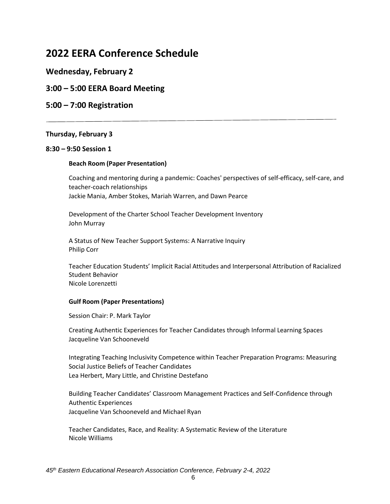# **2022 EERA Conference Schedule**

# **Wednesday, February 2**

# **3:00 – 5:00 EERA Board Meeting**

# **5:00 – 7:00 Registration**

#### **Thursday, February 3**

#### **8:30 – 9:50 Session 1**

#### **Beach Room (Paper Presentation)**

Coaching and mentoring during a pandemic: Coaches' perspectives of self-efficacy, self-care, and teacher-coach relationships Jackie Mania, Amber Stokes, Mariah Warren, and Dawn Pearce

Development of the Charter School Teacher Development Inventory John Murray

A Status of New Teacher Support Systems: A Narrative Inquiry Philip Corr

Teacher Education Students' Implicit Racial Attitudes and Interpersonal Attribution of Racialized Student Behavior Nicole Lorenzetti

#### **Gulf Room (Paper Presentations)**

Session Chair: P. Mark Taylor

Creating Authentic Experiences for Teacher Candidates through Informal Learning Spaces Jacqueline Van Schooneveld

Integrating Teaching Inclusivity Competence within Teacher Preparation Programs: Measuring Social Justice Beliefs of Teacher Candidates Lea Herbert, Mary Little, and Christine Destefano

Building Teacher Candidates' Classroom Management Practices and Self-Confidence through Authentic Experiences Jacqueline Van Schooneveld and Michael Ryan

Teacher Candidates, Race, and Reality: A Systematic Review of the Literature Nicole Williams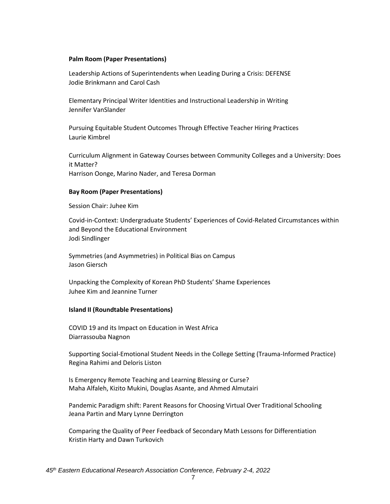#### **Palm Room (Paper Presentations)**

Leadership Actions of Superintendents when Leading During a Crisis: DEFENSE Jodie Brinkmann and Carol Cash

Elementary Principal Writer Identities and Instructional Leadership in Writing Jennifer VanSlander

Pursuing Equitable Student Outcomes Through Effective Teacher Hiring Practices Laurie Kimbrel

Curriculum Alignment in Gateway Courses between Community Colleges and a University: Does it Matter? Harrison Oonge, Marino Nader, and Teresa Dorman

#### **Bay Room (Paper Presentations)**

Session Chair: Juhee Kim

Covid-in-Context: Undergraduate Students' Experiences of Covid-Related Circumstances within and Beyond the Educational Environment Jodi Sindlinger

Symmetries (and Asymmetries) in Political Bias on Campus Jason Giersch

Unpacking the Complexity of Korean PhD Students' Shame Experiences Juhee Kim and Jeannine Turner

#### **Island II (Roundtable Presentations)**

COVID 19 and its Impact on Education in West Africa Diarrassouba Nagnon

Supporting Social-Emotional Student Needs in the College Setting (Trauma-Informed Practice) Regina Rahimi and Deloris Liston

Is Emergency Remote Teaching and Learning Blessing or Curse? Maha Alfaleh, Kizito Mukini, Douglas Asante, and Ahmed Almutairi

Pandemic Paradigm shift: Parent Reasons for Choosing Virtual Over Traditional Schooling Jeana Partin and Mary Lynne Derrington

Comparing the Quality of Peer Feedback of Secondary Math Lessons for Differentiation Kristin Harty and Dawn Turkovich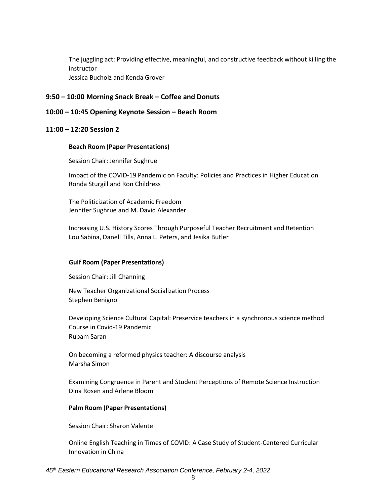The juggling act: Providing effective, meaningful, and constructive feedback without killing the instructor Jessica Bucholz and Kenda Grover

#### **9:50 – 10:00 Morning Snack Break – Coffee and Donuts**

#### **10:00 – 10:45 Opening Keynote Session – Beach Room**

#### **11:00 – 12:20 Session 2**

#### **Beach Room (Paper Presentations)**

Session Chair: Jennifer Sughrue

Impact of the COVID-19 Pandemic on Faculty: Policies and Practices in Higher Education Ronda Sturgill and Ron Childress

The Politicization of Academic Freedom Jennifer Sughrue and M. David Alexander

Increasing U.S. History Scores Through Purposeful Teacher Recruitment and Retention Lou Sabina, Danell Tills, Anna L. Peters, and Jesika Butler

#### **Gulf Room (Paper Presentations)**

Session Chair: Jill Channing

New Teacher Organizational Socialization Process Stephen Benigno

Developing Science Cultural Capital: Preservice teachers in a synchronous science method Course in Covid-19 Pandemic Rupam Saran

On becoming a reformed physics teacher: A discourse analysis Marsha Simon

Examining Congruence in Parent and Student Perceptions of Remote Science Instruction Dina Rosen and Arlene Bloom

#### **Palm Room (Paper Presentations)**

Session Chair: Sharon Valente

Online English Teaching in Times of COVID: A Case Study of Student-Centered Curricular Innovation in China

#### *45th Eastern Educational Research Association Conference, February 2-4, 2022*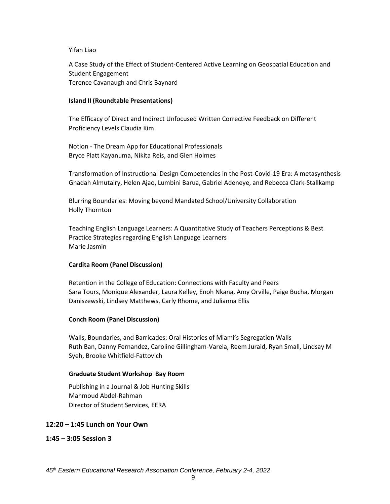#### Yifan Liao

A Case Study of the Effect of Student-Centered Active Learning on Geospatial Education and Student Engagement Terence Cavanaugh and Chris Baynard

#### **Island II (Roundtable Presentations)**

The Efficacy of Direct and Indirect Unfocused Written Corrective Feedback on Different Proficiency Levels Claudia Kim

Notion - The Dream App for Educational Professionals Bryce Platt Kayanuma, Nikita Reis, and Glen Holmes

Transformation of Instructional Design Competencies in the Post-Covid-19 Era: A metasynthesis Ghadah Almutairy, Helen Ajao, Lumbini Barua, Gabriel Adeneye, and Rebecca Clark-Stallkamp

Blurring Boundaries: Moving beyond Mandated School/University Collaboration Holly Thornton

Teaching English Language Learners: A Quantitative Study of Teachers Perceptions & Best Practice Strategies regarding English Language Learners Marie Jasmin

#### **Cardita Room (Panel Discussion)**

Retention in the College of Education: Connections with Faculty and Peers Sara Tours, Monique Alexander, Laura Kelley, Enoh Nkana, Amy Orville, Paige Bucha, Morgan Daniszewski, Lindsey Matthews, Carly Rhome, and Julianna Ellis

#### **Conch Room (Panel Discussion)**

Walls, Boundaries, and Barricades: Oral Histories of Miami's Segregation Walls Ruth Ban, Danny Fernandez, Caroline Gillingham-Varela, Reem Juraid, Ryan Small, Lindsay M Syeh, Brooke Whitfield-Fattovich

#### **Graduate Student Workshop Bay Room**

Publishing in a Journal & Job Hunting Skills Mahmoud Abdel-Rahman Director of Student Services, EERA

#### **12:20 – 1:45 Lunch on Your Own**

**1:45 – 3:05 Session 3**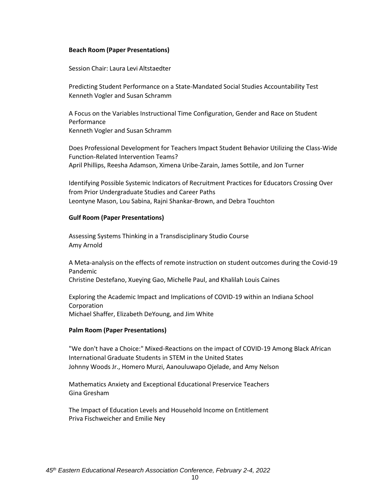#### **Beach Room (Paper Presentations)**

Session Chair: Laura Levi Altstaedter

Predicting Student Performance on a State-Mandated Social Studies Accountability Test Kenneth Vogler and Susan Schramm

A Focus on the Variables Instructional Time Configuration, Gender and Race on Student Performance Kenneth Vogler and Susan Schramm

Does Professional Development for Teachers Impact Student Behavior Utilizing the Class-Wide Function-Related Intervention Teams? April Phillips, Reesha Adamson, Ximena Uribe-Zarain, James Sottile, and Jon Turner

Identifying Possible Systemic Indicators of Recruitment Practices for Educators Crossing Over from Prior Undergraduate Studies and Career Paths Leontyne Mason, Lou Sabina, Rajni Shankar-Brown, and Debra Touchton

#### **Gulf Room (Paper Presentations)**

Assessing Systems Thinking in a Transdisciplinary Studio Course Amy Arnold

A Meta-analysis on the effects of remote instruction on student outcomes during the Covid-19 Pandemic Christine Destefano, Xueying Gao, Michelle Paul, and Khalilah Louis Caines

Exploring the Academic Impact and Implications of COVID-19 within an Indiana School **Corporation** Michael Shaffer, Elizabeth DeYoung, and Jim White

#### **Palm Room (Paper Presentations)**

"We don't have a Choice:" Mixed-Reactions on the impact of COVID-19 Among Black African International Graduate Students in STEM in the United States Johnny Woods Jr., Homero Murzi, Aanouluwapo Ojelade, and Amy Nelson

Mathematics Anxiety and Exceptional Educational Preservice Teachers Gina Gresham

The Impact of Education Levels and Household Income on Entitlement Priva Fischweicher and Emilie Ney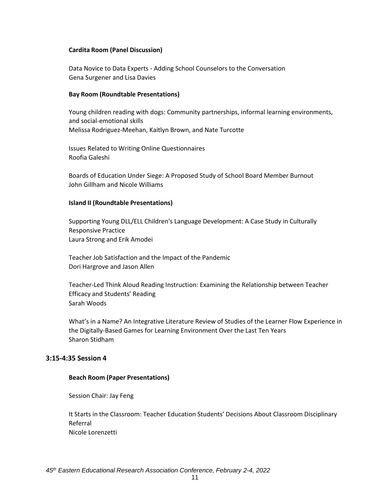#### **Cardita Room (Panel Discussion)**

Data Novice to Data Experts - Adding School Counselors to the Conversation Gena Surgener and Lisa Davies

#### **Bay Room (Roundtable Presentations)**

Young children reading with dogs: Community partnerships, informal learning environments, and social-emotional skills Melissa Rodriguez-Meehan, Kaitlyn Brown, and Nate Turcotte

Issues Related to Writing Online Questionnaires Roofia Galeshi

Boards of Education Under Siege: A Proposed Study of School Board Member Burnout John Gillham and Nicole Williams

#### **Island II (Roundtable Presentations)**

Supporting Young DLL/ELL Children's Language Development: A Case Study in Culturally Responsive Practice Laura Strong and Erik Amodei

Teacher Job Satisfaction and the Impact of the Pandemic Dori Hargrove and Jason Allen

Teacher-Led Think Aloud Reading Instruction: Examining the Relationship between Teacher Efficacy and Students' Reading Sarah Woods

What's in a Name? An Integrative Literature Review of Studies of the Learner Flow Experience in the Digitally-Based Games for Learning Environment Over the Last Ten Years Sharon Stidham

#### **3:15-4:35 Session 4**

#### **Beach Room (Paper Presentations)**

Session Chair: Jay Feng

It Starts in the Classroom: Teacher Education Students' Decisions About Classroom Disciplinary Referral Nicole Lorenzetti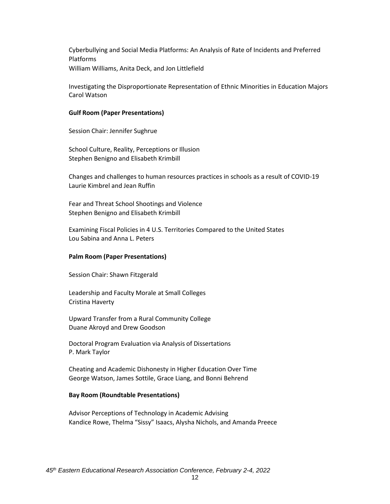Cyberbullying and Social Media Platforms: An Analysis of Rate of Incidents and Preferred Platforms William Williams, Anita Deck, and Jon Littlefield

Investigating the Disproportionate Representation of Ethnic Minorities in Education Majors Carol Watson

#### **Gulf Room (Paper Presentations)**

Session Chair: Jennifer Sughrue

School Culture, Reality, Perceptions or Illusion Stephen Benigno and Elisabeth Krimbill

Changes and challenges to human resources practices in schools as a result of COVID-19 Laurie Kimbrel and Jean Ruffin

Fear and Threat School Shootings and Violence Stephen Benigno and Elisabeth Krimbill

Examining Fiscal Policies in 4 U.S. Territories Compared to the United States Lou Sabina and Anna L. Peters

#### **Palm Room (Paper Presentations)**

Session Chair: Shawn Fitzgerald

Leadership and Faculty Morale at Small Colleges Cristina Haverty

Upward Transfer from a Rural Community College Duane Akroyd and Drew Goodson

Doctoral Program Evaluation via Analysis of Dissertations P. Mark Taylor

Cheating and Academic Dishonesty in Higher Education Over Time George Watson, James Sottile, Grace Liang, and Bonni Behrend

#### **Bay Room (Roundtable Presentations)**

Advisor Perceptions of Technology in Academic Advising Kandice Rowe, Thelma "Sissy" Isaacs, Alysha Nichols, and Amanda Preece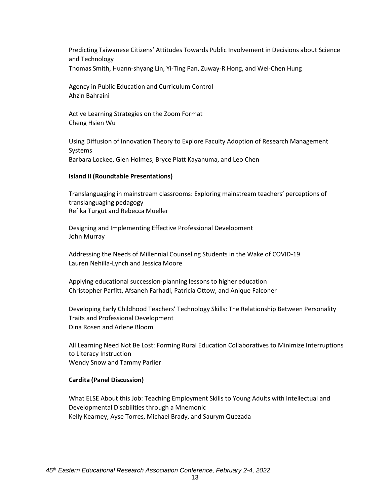Predicting Taiwanese Citizens' Attitudes Towards Public Involvement in Decisions about Science and Technology Thomas Smith, Huann-shyang Lin, Yi-Ting Pan, Zuway-R Hong, and Wei-Chen Hung

Agency in Public Education and Curriculum Control Ahzin Bahraini

Active Learning Strategies on the Zoom Format Cheng Hsien Wu

Using Diffusion of Innovation Theory to Explore Faculty Adoption of Research Management Systems Barbara Lockee, Glen Holmes, Bryce Platt Kayanuma, and Leo Chen

#### **Island II (Roundtable Presentations)**

Translanguaging in mainstream classrooms: Exploring mainstream teachers' perceptions of translanguaging pedagogy Refika Turgut and Rebecca Mueller

Designing and Implementing Effective Professional Development John Murray

Addressing the Needs of Millennial Counseling Students in the Wake of COVID-19 Lauren Nehilla-Lynch and Jessica Moore

Applying educational succession-planning lessons to higher education Christopher Parfitt, Afsaneh Farhadi, Patricia Ottow, and Anique Falconer

Developing Early Childhood Teachers' Technology Skills: The Relationship Between Personality Traits and Professional Development Dina Rosen and Arlene Bloom

All Learning Need Not Be Lost: Forming Rural Education Collaboratives to Minimize Interruptions to Literacy Instruction Wendy Snow and Tammy Parlier

#### **Cardita (Panel Discussion)**

What ELSE About this Job: Teaching Employment Skills to Young Adults with Intellectual and Developmental Disabilities through a Mnemonic Kelly Kearney, Ayse Torres, Michael Brady, and Saurym Quezada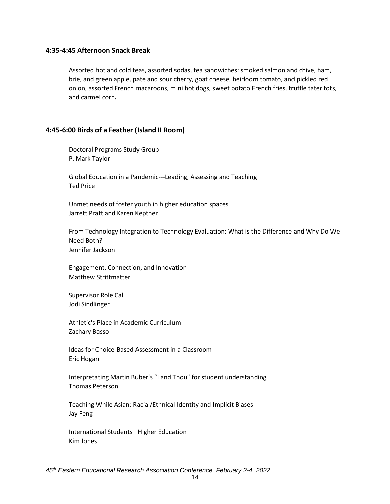#### **4:35-4:45 Afternoon Snack Break**

Assorted hot and cold teas, assorted sodas, tea sandwiches: smoked salmon and chive, ham, brie, and green apple, pate and sour cherry, goat cheese, heirloom tomato, and pickled red onion, assorted French macaroons, mini hot dogs, sweet potato French fries, truffle tater tots, and carmel corn**.**

#### **4:45-6:00 Birds of a Feather (Island II Room)**

Doctoral Programs Study Group P. Mark Taylor

Global Education in a Pandemic---Leading, Assessing and Teaching Ted Price

Unmet needs of foster youth in higher education spaces Jarrett Pratt and Karen Keptner

From Technology Integration to Technology Evaluation: What is the Difference and Why Do We Need Both? Jennifer Jackson

Engagement, Connection, and Innovation Matthew Strittmatter

Supervisor Role Call! Jodi Sindlinger

Athletic's Place in Academic Curriculum Zachary Basso

Ideas for Choice-Based Assessment in a Classroom Eric Hogan

Interpretating Martin Buber's "I and Thou" for student understanding Thomas Peterson

Teaching While Asian: Racial/Ethnical Identity and Implicit Biases Jay Feng

International Students \_Higher Education Kim Jones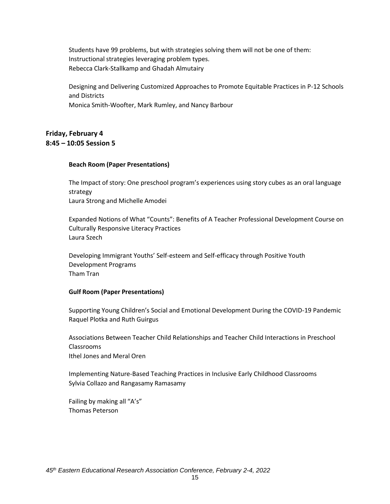Students have 99 problems, but with strategies solving them will not be one of them: Instructional strategies leveraging problem types. Rebecca Clark-Stallkamp and Ghadah Almutairy

Designing and Delivering Customized Approaches to Promote Equitable Practices in P-12 Schools and Districts Monica Smith-Woofter, Mark Rumley, and Nancy Barbour

## **Friday, February 4 8:45 – 10:05 Session 5**

#### **Beach Room (Paper Presentations)**

The Impact of story: One preschool program's experiences using story cubes as an oral language strategy Laura Strong and Michelle Amodei

Expanded Notions of What "Counts": Benefits of A Teacher Professional Development Course on Culturally Responsive Literacy Practices Laura Szech

Developing Immigrant Youths' Self-esteem and Self-efficacy through Positive Youth Development Programs Tham Tran

#### **Gulf Room (Paper Presentations)**

Supporting Young Children's Social and Emotional Development During the COVID-19 Pandemic Raquel Plotka and Ruth Guirgus

Associations Between Teacher Child Relationships and Teacher Child Interactions in Preschool Classrooms Ithel Jones and Meral Oren

Implementing Nature-Based Teaching Practices in Inclusive Early Childhood Classrooms Sylvia Collazo and Rangasamy Ramasamy

Failing by making all "A's" Thomas Peterson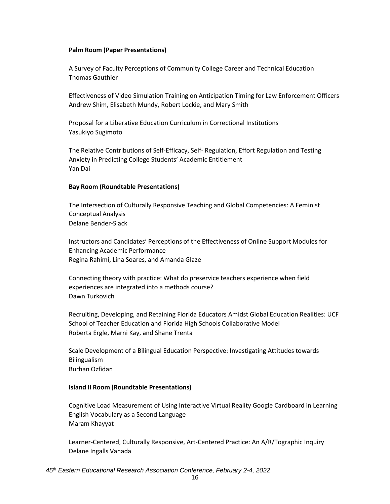#### **Palm Room (Paper Presentations)**

A Survey of Faculty Perceptions of Community College Career and Technical Education Thomas Gauthier

Effectiveness of Video Simulation Training on Anticipation Timing for Law Enforcement Officers Andrew Shim, Elisabeth Mundy, Robert Lockie, and Mary Smith

Proposal for a Liberative Education Curriculum in Correctional Institutions Yasukiyo Sugimoto

The Relative Contributions of Self-Efficacy, Self- Regulation, Effort Regulation and Testing Anxiety in Predicting College Students' Academic Entitlement Yan Dai

#### **Bay Room (Roundtable Presentations)**

The Intersection of Culturally Responsive Teaching and Global Competencies: A Feminist Conceptual Analysis Delane Bender-Slack

Instructors and Candidates' Perceptions of the Effectiveness of Online Support Modules for Enhancing Academic Performance Regina Rahimi, Lina Soares, and Amanda Glaze

Connecting theory with practice: What do preservice teachers experience when field experiences are integrated into a methods course? Dawn Turkovich

Recruiting, Developing, and Retaining Florida Educators Amidst Global Education Realities: UCF School of Teacher Education and Florida High Schools Collaborative Model Roberta Ergle, Marni Kay, and Shane Trenta

Scale Development of a Bilingual Education Perspective: Investigating Attitudes towards Bilingualism Burhan Ozfidan

#### **Island II Room (Roundtable Presentations)**

Cognitive Load Measurement of Using Interactive Virtual Reality Google Cardboard in Learning English Vocabulary as a Second Language Maram Khayyat

Learner-Centered, Culturally Responsive, Art-Centered Practice: An A/R/Tographic Inquiry Delane Ingalls Vanada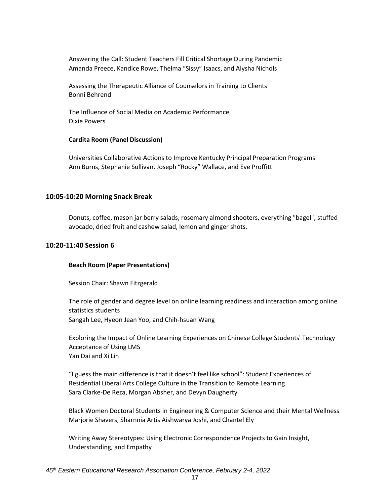Answering the Call: Student Teachers Fill Critical Shortage During Pandemic Amanda Preece, Kandice Rowe, Thelma "Sissy" Isaacs, and Alysha Nichols

Assessing the Therapeutic Alliance of Counselors in Training to Clients Bonni Behrend

The Influence of Social Media on Academic Performance Dixie Powers

#### **Cardita Room (Panel Discussion)**

Universities Collaborative Actions to Improve Kentucky Principal Preparation Programs Ann Burns, Stephanie Sullivan, Joseph "Rocky" Wallace, and Eve Proffitt

#### **10:05-10:20 Morning Snack Break**

Donuts, coffee, mason jar berry salads, rosemary almond shooters, everything "bagel", stuffed avocado, dried fruit and cashew salad, lemon and ginger shots.

#### **10:20-11:40 Session 6**

#### **Beach Room (Paper Presentations)**

Session Chair: Shawn Fitzgerald

The role of gender and degree level on online learning readiness and interaction among online statistics students Sangah Lee, Hyeon Jean Yoo, and Chih-hsuan Wang

Exploring the Impact of Online Learning Experiences on Chinese College Students' Technology Acceptance of Using LMS Yan Dai and Xi Lin

"I guess the main difference is that it doesn't feel like school": Student Experiences of Residential Liberal Arts College Culture in the Transition to Remote Learning Sara Clarke-De Reza, Morgan Absher, and Devyn Daugherty

Black Women Doctoral Students in Engineering & Computer Science and their Mental Wellness Marjorie Shavers, Sharnnia Artis Aishwarya Joshi, and Chantel Ely

Writing Away Stereotypes: Using Electronic Correspondence Projects to Gain Insight, Understanding, and Empathy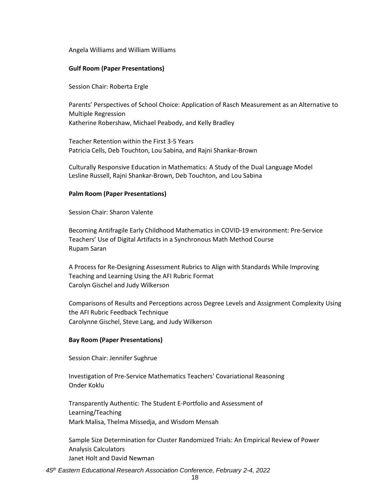Angela Williams and William Williams

#### **Gulf Room (Paper Presentations)**

Session Chair: Roberta Ergle

Parents' Perspectives of School Choice: Application of Rasch Measurement as an Alternative to Multiple Regression Katherine Robershaw, Michael Peabody, and Kelly Bradley

Teacher Retention within the First 3-5 Years Patricia Cells, Deb Touchton, Lou Sabina, and Rajni Shankar-Brown

Culturally Responsive Education in Mathematics: A Study of the Dual Language Model Lesline Russell, Rajni Shankar-Brown, Deb Touchton, and Lou Sabina

#### **Palm Room (Paper Presentations)**

Session Chair: Sharon Valente

Becoming Antifragile Early Childhood Mathematics in COVID-19 environment: Pre-Service Teachers' Use of Digital Artifacts in a Synchronous Math Method Course Rupam Saran

A Process for Re-Designing Assessment Rubrics to Align with Standards While Improving Teaching and Learning Using the AFI Rubric Format Carolyn Gischel and Judy Wilkerson

Comparisons of Results and Perceptions across Degree Levels and Assignment Complexity Using the AFI Rubric Feedback Technique Carolynne Gischel, Steve Lang, and Judy Wilkerson

#### **Bay Room (Paper Presentations)**

Session Chair: Jennifer Sughrue

Investigation of Pre-Service Mathematics Teachers' Covariational Reasoning Onder Koklu

Transparently Authentic: The Student E-Portfolio and Assessment of Learning/Teaching Mark Malisa, Thelma Missedja, and Wisdom Mensah

Sample Size Determination for Cluster Randomized Trials: An Empirical Review of Power Analysis Calculators Janet Holt and David Newman

*45th Eastern Educational Research Association Conference, February 2-4, 2022*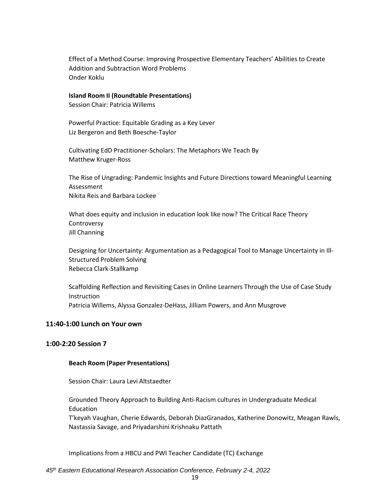Effect of a Method Course: Improving Prospective Elementary Teachers' Abilities to Create Addition and Subtraction Word Problems Onder Koklu

#### **Island Room II (Roundtable Presentations)**

Session Chair: Patricia Willems

Powerful Practice: Equitable Grading as a Key Lever Liz Bergeron and Beth Boesche-Taylor

Cultivating EdD Practitioner-Scholars: The Metaphors We Teach By Matthew Kruger-Ross

The Rise of Ungrading: Pandemic Insights and Future Directions toward Meaningful Learning Assessment Nikita Reis and Barbara Lockee

What does equity and inclusion in education look like now? The Critical Race Theory Controversy Jill Channing

Designing for Uncertainty: Argumentation as a Pedagogical Tool to Manage Uncertainty in Ill-Structured Problem Solving Rebecca Clark-Stallkamp

Scaffolding Reflection and Revisiting Cases in Online Learners Through the Use of Case Study Instruction Patricia Willems, Alyssa Gonzalez-DeHass, Jilliam Powers, and Ann Musgrove

#### **11:40-1:00 Lunch on Your own**

#### **1:00-2:20 Session 7**

#### **Beach Room (Paper Presentations)**

Session Chair: Laura Levi Altstaedter

Grounded Theory Approach to Building Anti-Racism cultures in Undergraduate Medical Education

T'keyah Vaughan, Cherie Edwards, Deborah DiazGranados, Katherine Donowitz, Meagan Rawls, Nastassia Savage, and Priyadarshini Krishnaku Pattath

Implications from a HBCU and PWI Teacher Candidate (TC) Exchange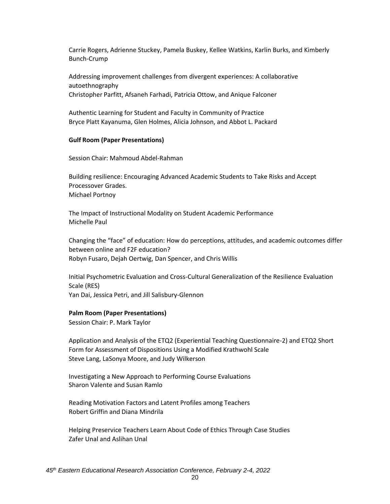Carrie Rogers, Adrienne Stuckey, Pamela Buskey, Kellee Watkins, Karlin Burks, and Kimberly Bunch-Crump

Addressing improvement challenges from divergent experiences: A collaborative autoethnography Christopher Parfitt, Afsaneh Farhadi, Patricia Ottow, and Anique Falconer

Authentic Learning for Student and Faculty in Community of Practice Bryce Platt Kayanuma, Glen Holmes, Alicia Johnson, and Abbot L. Packard

#### **Gulf Room (Paper Presentations)**

Session Chair: Mahmoud Abdel-Rahman

Building resilience: Encouraging Advanced Academic Students to Take Risks and Accept Processover Grades. Michael Portnoy

The Impact of Instructional Modality on Student Academic Performance Michelle Paul

Changing the "face" of education: How do perceptions, attitudes, and academic outcomes differ between online and F2F education? Robyn Fusaro, Dejah Oertwig, Dan Spencer, and Chris Willis

Initial Psychometric Evaluation and Cross-Cultural Generalization of the Resilience Evaluation Scale (RES) Yan Dai, Jessica Petri, and Jill Salisbury-Glennon

#### **Palm Room (Paper Presentations)**

Session Chair: P. Mark Taylor

Application and Analysis of the ETQ2 (Experiential Teaching Questionnaire-2) and ETQ2 Short Form for Assessment of Dispositions Using a Modified Krathwohl Scale Steve Lang, LaSonya Moore, and Judy Wilkerson

Investigating a New Approach to Performing Course Evaluations Sharon Valente and Susan Ramlo

Reading Motivation Factors and Latent Profiles among Teachers Robert Griffin and Diana Mindrila

Helping Preservice Teachers Learn About Code of Ethics Through Case Studies Zafer Unal and Aslihan Unal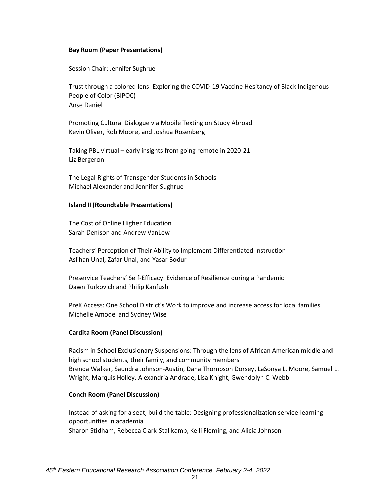#### **Bay Room (Paper Presentations)**

Session Chair: Jennifer Sughrue

Trust through a colored lens: Exploring the COVID-19 Vaccine Hesitancy of Black Indigenous People of Color (BIPOC) Anse Daniel

Promoting Cultural Dialogue via Mobile Texting on Study Abroad Kevin Oliver, Rob Moore, and Joshua Rosenberg

Taking PBL virtual – early insights from going remote in 2020-21 Liz Bergeron

The Legal Rights of Transgender Students in Schools Michael Alexander and Jennifer Sughrue

#### **Island II (Roundtable Presentations)**

The Cost of Online Higher Education Sarah Denison and Andrew VanLew

Teachers' Perception of Their Ability to Implement Differentiated Instruction Aslihan Unal, Zafar Unal, and Yasar Bodur

Preservice Teachers' Self-Efficacy: Evidence of Resilience during a Pandemic Dawn Turkovich and Philip Kanfush

PreK Access: One School District's Work to improve and increase access for local families Michelle Amodei and Sydney Wise

#### **Cardita Room (Panel Discussion)**

Racism in School Exclusionary Suspensions: Through the lens of African American middle and high school students, their family, and community members Brenda Walker, Saundra Johnson-Austin, Dana Thompson Dorsey, LaSonya L. Moore, Samuel L. Wright, Marquis Holley, Alexandria Andrade, Lisa Knight, Gwendolyn C. Webb

#### **Conch Room (Panel Discussion)**

Instead of asking for a seat, build the table: Designing professionalization service-learning opportunities in academia Sharon Stidham, Rebecca Clark-Stallkamp, Kelli Fleming, and Alicia Johnson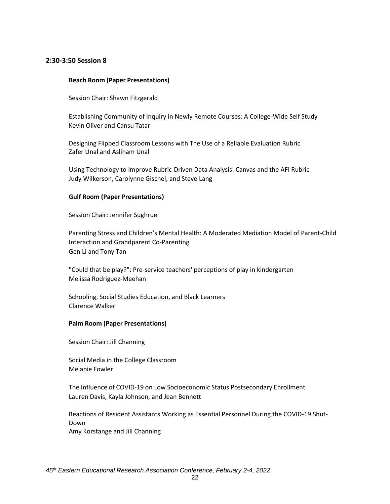#### **2:30-3:50 Session 8**

#### **Beach Room (Paper Presentations)**

Session Chair: Shawn Fitzgerald

Establishing Community of Inquiry in Newly Remote Courses: A College-Wide Self Study Kevin Oliver and Cansu Tatar

Designing Flipped Classroom Lessons with The Use of a Reliable Evaluation Rubric Zafer Unal and Asliham Unal

Using Technology to Improve Rubric-Driven Data Analysis: Canvas and the AFI Rubric Judy Wilkerson, Carolynne Gischel, and Steve Lang

#### **Gulf Room (Paper Presentations)**

Session Chair: Jennifer Sughrue

Parenting Stress and Children's Mental Health: A Moderated Mediation Model of Parent-Child Interaction and Grandparent Co-Parenting Gen Li and Tony Tan

"Could that be play?": Pre-service teachers' perceptions of play in kindergarten Melissa Rodriguez-Meehan

Schooling, Social Studies Education, and Black Learners Clarence Walker

#### **Palm Room (Paper Presentations)**

Session Chair: Jill Channing

Social Media in the College Classroom Melanie Fowler

The Influence of COVID-19 on Low Socioeconomic Status Postsecondary Enrollment Lauren Davis, Kayla Johnson, and Jean Bennett

Reactions of Resident Assistants Working as Essential Personnel During the COVID-19 Shut-Down Amy Korstange and Jill Channing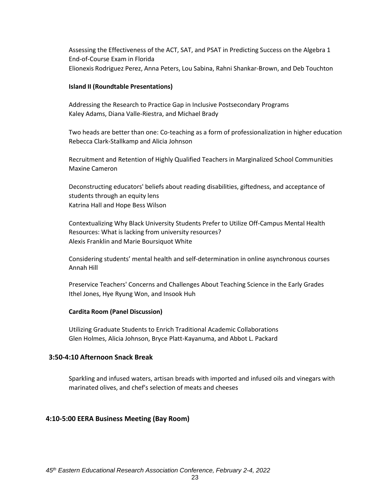Assessing the Effectiveness of the ACT, SAT, and PSAT in Predicting Success on the Algebra 1 End-of-Course Exam in Florida Elionexis Rodriguez Perez, Anna Peters, Lou Sabina, Rahni Shankar-Brown, and Deb Touchton

#### **Island II (Roundtable Presentations)**

Addressing the Research to Practice Gap in Inclusive Postsecondary Programs Kaley Adams, Diana Valle-Riestra, and Michael Brady

Two heads are better than one: Co-teaching as a form of professionalization in higher education Rebecca Clark-Stallkamp and Alicia Johnson

Recruitment and Retention of Highly Qualified Teachers in Marginalized School Communities Maxine Cameron

Deconstructing educators' beliefs about reading disabilities, giftedness, and acceptance of students through an equity lens Katrina Hall and Hope Bess Wilson

Contextualizing Why Black University Students Prefer to Utilize Off-Campus Mental Health Resources: What is lacking from university resources? Alexis Franklin and Marie Boursiquot White

Considering students' mental health and self-determination in online asynchronous courses Annah Hill

Preservice Teachers' Concerns and Challenges About Teaching Science in the Early Grades Ithel Jones, Hye Ryung Won, and Insook Huh

#### **Cardita Room (Panel Discussion)**

Utilizing Graduate Students to Enrich Traditional Academic Collaborations Glen Holmes, Alicia Johnson, Bryce Platt-Kayanuma, and Abbot L. Packard

#### **3:50-4:10 Afternoon Snack Break**

Sparkling and infused waters, artisan breads with imported and infused oils and vinegars with marinated olives, and chef's selection of meats and cheeses

#### **4:10-5:00 EERA Business Meeting (Bay Room)**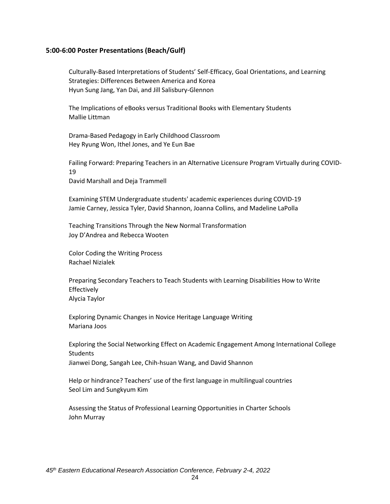#### **5:00-6:00 Poster Presentations (Beach/Gulf)**

Culturally-Based Interpretations of Students' Self-Efficacy, Goal Orientations, and Learning Strategies: Differences Between America and Korea Hyun Sung Jang, Yan Dai, and Jill Salisbury-Glennon

The Implications of eBooks versus Traditional Books with Elementary Students Mallie Littman

Drama-Based Pedagogy in Early Childhood Classroom Hey Ryung Won, Ithel Jones, and Ye Eun Bae

Failing Forward: Preparing Teachers in an Alternative Licensure Program Virtually during COVID-19 David Marshall and Deja Trammell

Examining STEM Undergraduate students' academic experiences during COVID-19 Jamie Carney, Jessica Tyler, David Shannon, Joanna Collins, and Madeline LaPolla

Teaching Transitions Through the New Normal Transformation Joy D'Andrea and Rebecca Wooten

Color Coding the Writing Process Rachael Nizialek

Preparing Secondary Teachers to Teach Students with Learning Disabilities How to Write Effectively

Alycia Taylor

Exploring Dynamic Changes in Novice Heritage Language Writing Mariana Joos

Exploring the Social Networking Effect on Academic Engagement Among International College **Students** 

Jianwei Dong, Sangah Lee, Chih-hsuan Wang, and David Shannon

Help or hindrance? Teachers' use of the first language in multilingual countries Seol Lim and Sungkyum Kim

Assessing the Status of Professional Learning Opportunities in Charter Schools John Murray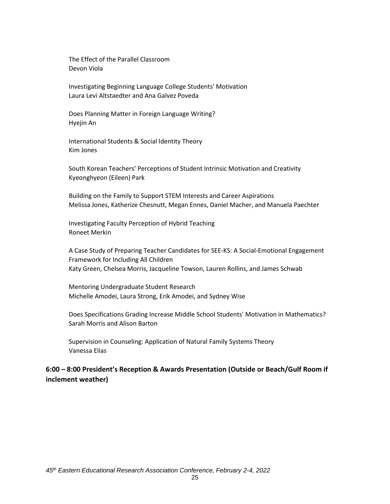The Effect of the Parallel Classroom Devon Viola

Investigating Beginning Language College Students' Motivation Laura Levi Altstaedter and Ana Galvez Poveda

Does Planning Matter in Foreign Language Writing? Hyejin An

International Students & Social Identity Theory Kim Jones

South Korean Teachers' Perceptions of Student Intrinsic Motivation and Creativity Kyeonghyeon (Eileen) Park

Building on the Family to Support STEM Interests and Career Aspirations Melissa Jones, Katherize Chesnutt, Megan Ennes, Daniel Macher, and Manuela Paechter

Investigating Faculty Perception of Hybrid Teaching Roneet Merkin

A Case Study of Preparing Teacher Candidates for SEE-KS: A Social-Emotional Engagement Framework for Including All Children Katy Green, Chelsea Morris, Jacqueline Towson, Lauren Rollins, and James Schwab

Mentoring Undergraduate Student Research Michelle Amodei, Laura Strong, Erik Amodei, and Sydney Wise

Does Specifications Grading Increase Middle School Students' Motivation in Mathematics? Sarah Morris and Alison Barton

Supervision in Counseling: Application of Natural Family Systems Theory Vanessa Elias

## **6:00 – 8:00 President's Reception & Awards Presentation (Outside or Beach/Gulf Room if inclement weather)**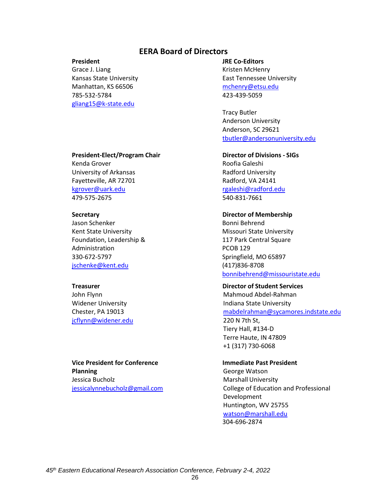## **EERA Board of Directors**

#### **President**

Grace J. Liang Kansas State University Manhattan, KS 66506 785-532-5784 [gliang15@k-state.edu](mailto:gliang15@k-state.edu)

#### **JRE Co-Editors**

Kristen McHenry East Tennessee University [mchenry@etsu.edu](mailto:mchenry@etsu.edu) 423-439-5059

Tracy Butler Anderson University Anderson, SC 29621 [tbutler@andersonuniversity.edu](mailto:tbutler@andersonuniversity.edu)

**Director of Divisions - SIGs** Roofia Galeshi Radford University Radford, VA 24141 [rgaleshi@radford.edu](mailto:rgaleshi@radford.edu) 540-831-7661

#### **Director of Membership**

Bonni Behrend Missouri State University 117 Park Central Square PCOB 129 Springfield, MO 65897 (417)836-8708 [bonnibehrend@missouristate.edu](mailto:bonnibehrend@missouristate.edu)

#### **Director of Student Services**

Mahmoud Abdel-Rahman Indiana State University [mabdelrahman@sycamores.indstate.edu](mailto:mabdelrahman@sycamores.indstate.edu) 220 N 7th St, Tiery Hall, #134-D Terre Haute, IN 47809 +1 (317) 730-6068

#### **Immediate Past President**

George Watson Marshall University College of Education and Professional Development Huntington, WV 25755 [watson@marshall.edu](mailto:watson@marshall.edu) 304-696-2874

## **President-Elect/Program Chair**

Kenda Grover University of Arkansas Fayetteville, AR 72701 [kgrover@uark.edu](mailto:kgrover@uark.edu) 479-575-2675

#### **Secretary**

Jason Schenker Kent State University Foundation, Leadership & Administration 330-672-5797 [jschenke@kent.edu](mailto:jschenke@kent.edu)

#### **Treasurer**

John Flynn Widener University Chester, PA 19013 [jcflynn@widener.edu](mailto:jcflynn@widener.edu)

**Vice President for Conference Planning** Jessica Bucholz [jessicalynnebucholz@gmail.com](mailto:jessicalynnebucholz@gmail.com)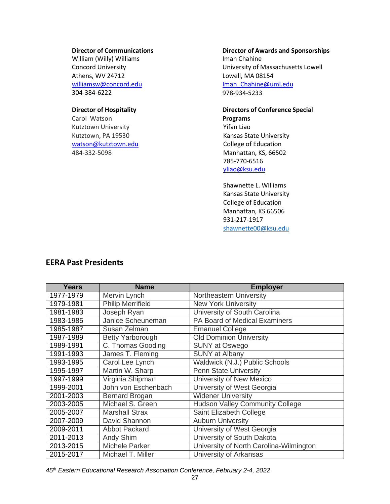#### **Director of Communications**

William (Willy) Williams Concord University Athens, WV 24712 [williamsw@concord.edu](mailto:williamsw@concord.edu) 304-384-6222

#### **Director of Hospitality**

Carol Watson Kutztown University Kutztown, PA 19530 [watson@kutztown.edu](mailto:watson@kutztown.edu) 484-332-5098

## **Director of Awards and Sponsorships**

Iman Chahine University of Massachusetts Lowell Lowell, MA 08154 [Iman\\_Chahine@uml.edu](mailto:Iman_Chahine@uml.edu) 978-934-5233

#### **Directors of Conference Special Programs**

Yifan Liao Kansas State University College of Education Manhattan, KS, 66502 785-770-6516 [yliao@ksu.edu](mailto:yliao@ksu.edu)

Shawnette L. Williams Kansas State University College of Education Manhattan, KS 66506 931-217-1917 [shawnette00@ksu.edu](shawnette00@ksu.edu%20)

# **EERA Past Presidents**

| Years     | <b>Name</b>              | <b>Employer</b>                         |  |
|-----------|--------------------------|-----------------------------------------|--|
| 1977-1979 | Mervin Lynch             | Northeastern University                 |  |
| 1979-1981 | <b>Philip Merrifield</b> | <b>New York University</b>              |  |
| 1981-1983 | Joseph Ryan              | University of South Carolina            |  |
| 1983-1985 | Janice Scheuneman        | PA Board of Medical Examiners           |  |
| 1985-1987 | Susan Zelman             | <b>Emanuel College</b>                  |  |
| 1987-1989 | <b>Betty Yarborough</b>  | <b>Old Dominion University</b>          |  |
| 1989-1991 | C. Thomas Gooding        | <b>SUNY at Oswego</b>                   |  |
| 1991-1993 | James T. Fleming         | <b>SUNY at Albany</b>                   |  |
| 1993-1995 | Carol Lee Lynch          | Waldwick (N.J.) Public Schools          |  |
| 1995-1997 | Martin W. Sharp          | <b>Penn State University</b>            |  |
| 1997-1999 | Virginia Shipman         | University of New Mexico                |  |
| 1999-2001 | John von Eschenbach      | University of West Georgia              |  |
| 2001-2003 | <b>Bernard Brogan</b>    | <b>Widener University</b>               |  |
| 2003-2005 | Michael S. Green         | <b>Hudson Valley Community College</b>  |  |
| 2005-2007 | <b>Marshall Strax</b>    | Saint Elizabeth College                 |  |
| 2007-2009 | David Shannon            | <b>Auburn University</b>                |  |
| 2009-2011 | Abbot Packard            | University of West Georgia              |  |
| 2011-2013 | Andy Shim                | University of South Dakota              |  |
| 2013-2015 | <b>Michele Parker</b>    | University of North Carolina-Wilmington |  |
| 2015-2017 | Michael T. Miller        | University of Arkansas                  |  |

*45th Eastern Educational Research Association Conference, February 2-4, 2022*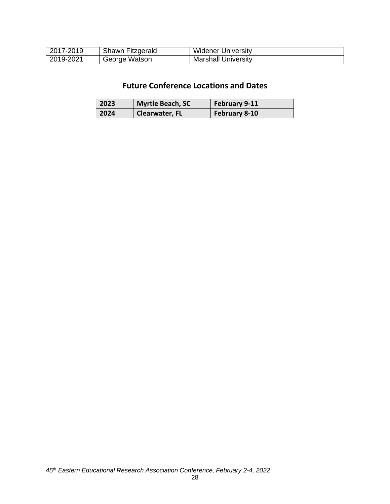| 2017-2019 | Shawn Fitzgerald | <b>Widener University</b>  |
|-----------|------------------|----------------------------|
| 2019-2021 | George Watson    | <b>Marshall University</b> |

# **Future Conference Locations and Dates**

| 2023 | Myrtle Beach, SC | February 9-11 |
|------|------------------|---------------|
| 2024 | Clearwater, FL   | February 8-10 |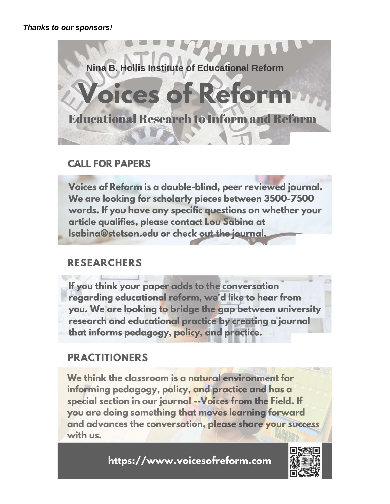

# **CALL FOR PAPERS**

Voices of Reform is a double-blind, peer reviewed journal. We are looking for scholarly pieces between 3500-7500 words. If you have any specific questions on whether your article qualifies, please contact Lou Sabina at Isabina@stetson.edu or check out the journal,

# **RESEARCHERS**

If you think your paper adds to the conversation regarding educational reform, we'd like to hear from you. We are looking to bridge the gap between university research and educational practice by creating a journal that informs pedagogy, policy, and practice.

# **PRACTITIONERS**

We think the classroom is a natural environment for informing pedagogy, policy, and practice and has a special section in our journal -- Voices from the Field. If you are doing something that moves learning forward and advances the conversation, please share your success with us.

https://www.voicesofreform.com